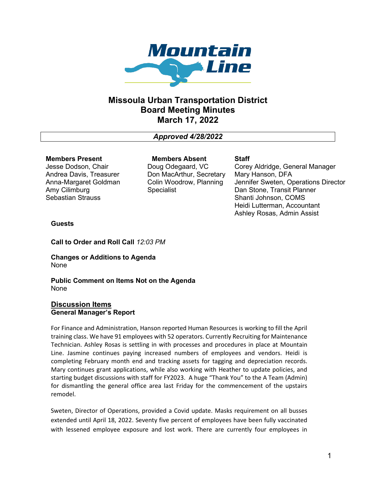

# **Missoula Urban Transportation District Board Meeting Minutes March 17, 2022**

*Approved 4/28/2022*

## **Members Present**

Jesse Dodson, Chair Andrea Davis, Treasurer Anna-Margaret Goldman Amy Cilimburg Sebastian Strauss

**Members Absent** Doug Odegaard, VC Don MacArthur, Secretary Colin Woodrow, Planning Specialist

**Staff**

Corey Aldridge, General Manager Mary Hanson, DFA Jennifer Sweten, Operations Director Dan Stone, Transit Planner Shanti Johnson, COMS Heidi Lutterman, Accountant Ashley Rosas, Admin Assist

## **Guests**

**Call to Order and Roll Call** *12:03 PM*

**Changes or Additions to Agenda** None

**Public Comment on Items Not on the Agenda** None

## **Discussion Items General Manager's Report**

For Finance and Administration, Hanson reported Human Resources is working to fill the April training class. We have 91 employees with 52 operators. Currently Recruiting for Maintenance Technician. Ashley Rosas is settling in with processes and procedures in place at Mountain Line. Jasmine continues paying increased numbers of employees and vendors. Heidi is completing February month end and tracking assets for tagging and depreciation records. Mary continues grant applications, while also working with Heather to update policies, and starting budget discussions with staff for FY2023. A huge "Thank You" to the A Team (Admin) for dismantling the general office area last Friday for the commencement of the upstairs remodel.

Sweten, Director of Operations, provided a Covid update. Masks requirement on all busses extended until April 18, 2022. Seventy five percent of employees have been fully vaccinated with lessened employee exposure and lost work. There are currently four employees in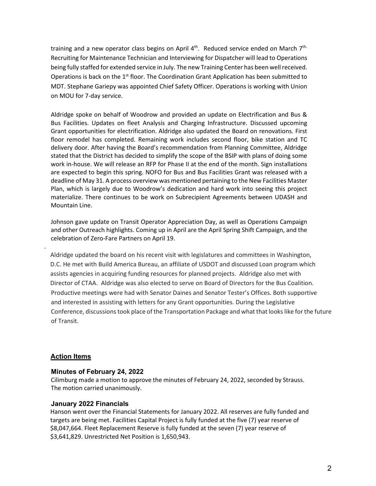training and a new operator class begins on April 4<sup>th</sup>. Reduced service ended on March 7<sup>th.</sup> Recruiting for Maintenance Technician and Interviewing for Dispatcher will lead to Operations being fully staffed for extended service in July. The new Training Center has been well received. Operations is back on the 1<sup>st</sup> floor. The Coordination Grant Application has been submitted to MDT. Stephane Gariepy was appointed Chief Safety Officer. Operations is working with Union on MOU for 7-day service.

Aldridge spoke on behalf of Woodrow and provided an update on Electrification and Bus & Bus Facilities. Updates on fleet Analysis and Charging Infrastructure. Discussed upcoming Grant opportunities for electrification. Aldridge also updated the Board on renovations. First floor remodel has completed. Remaining work includes second floor, bike station and TC delivery door. After having the Board's recommendation from Planning Committee, Aldridge stated that the District has decided to simplify the scope of the BSIP with plans of doing some work in-house. We will release an RFP for Phase II at the end of the month. Sign installations are expected to begin this spring. NOFO for Bus and Bus Facilities Grant was released with a deadline of May 31. A process overview was mentioned pertaining to the New Facilities Master Plan, which is largely due to Woodrow's dedication and hard work into seeing this project materialize. There continues to be work on Subrecipient Agreements between UDASH and Mountain Line.

Johnson gave update on Transit Operator Appreciation Day, as well as Operations Campaign and other Outreach highlights. Coming up in April are the April Spring Shift Campaign, and the celebration of Zero-Fare Partners on April 19.

 Aldridge updated the board on his recent visit with legislatures and committees in Washington, D.C. He met with Build America Bureau, an affiliate of USDOT and discussed Loan program which assists agencies in acquiring funding resources for planned projects. Aldridge also met with Director of CTAA. Aldridge was also elected to serve on Board of Directors for the Bus Coalition. Productive meetings were had with Senator Daines and Senator Tester's Offices. Both supportive and interested in assisting with letters for any Grant opportunities. During the Legislative Conference, discussions took place of the Transportation Package and what that looks like for the future of Transit.

## **Action Items**

.

#### **Minutes of February 24, 2022**

Cilimburg made a motion to approve the minutes of February 24, 2022, seconded by Strauss. The motion carried unanimously.

#### **January 2022 Financials**

 Hanson went over the Financial Statements for January 2022. All reserves are fully funded and targets are being met. Facilities Capital Project is fully funded at the five (7) year reserve of \$8,047,664. Fleet Replacement Reserve is fully funded at the seven (7) year reserve of \$3,641,829. Unrestricted Net Position is 1,650,943.